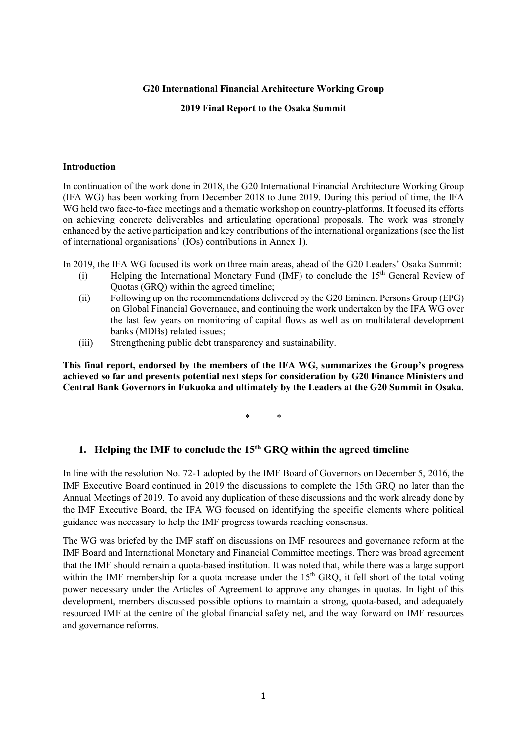#### **G20 International Financial Architecture Working Group**

**2019 Final Report to the Osaka Summit** 

#### **Introduction**

In continuation of the work done in 2018, the G20 International Financial Architecture Working Group (IFA WG) has been working from December 2018 to June 2019. During this period of time, the IFA WG held two face-to-face meetings and a thematic workshop on country-platforms. It focused its efforts on achieving concrete deliverables and articulating operational proposals. The work was strongly enhanced by the active participation and key contributions of the international organizations (see the list of international organisations' (IOs) contributions in Annex 1).

In 2019, the IFA WG focused its work on three main areas, ahead of the G20 Leaders' Osaka Summit:

- (i) Helping the International Monetary Fund (IMF) to conclude the  $15<sup>th</sup>$  General Review of Quotas (GRQ) within the agreed timeline;
- (ii) Following up on the recommendations delivered by the G20 Eminent Persons Group (EPG) on Global Financial Governance, and continuing the work undertaken by the IFA WG over the last few years on monitoring of capital flows as well as on multilateral development banks (MDBs) related issues;
- (iii) Strengthening public debt transparency and sustainability.

**This final report, endorsed by the members of the IFA WG, summarizes the Group's progress achieved so far and presents potential next steps for consideration by G20 Finance Ministers and Central Bank Governors in Fukuoka and ultimately by the Leaders at the G20 Summit in Osaka.** 

\* \*

## **1. Helping the IMF to conclude the 15th GRQ within the agreed timeline**

In line with the resolution No. 72-1 adopted by the IMF Board of Governors on December 5, 2016, the IMF Executive Board continued in 2019 the discussions to complete the 15th GRQ no later than the Annual Meetings of 2019. To avoid any duplication of these discussions and the work already done by the IMF Executive Board, the IFA WG focused on identifying the specific elements where political guidance was necessary to help the IMF progress towards reaching consensus.

The WG was briefed by the IMF staff on discussions on IMF resources and governance reform at the IMF Board and International Monetary and Financial Committee meetings. There was broad agreement that the IMF should remain a quota-based institution. It was noted that, while there was a large support within the IMF membership for a quota increase under the  $15<sup>th</sup>$  GRQ, it fell short of the total voting power necessary under the Articles of Agreement to approve any changes in quotas. In light of this development, members discussed possible options to maintain a strong, quota-based, and adequately resourced IMF at the centre of the global financial safety net, and the way forward on IMF resources and governance reforms.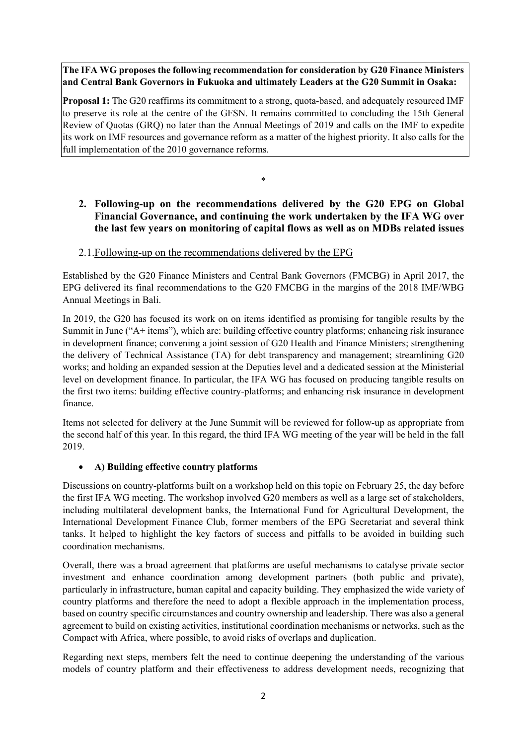# **The IFA WG proposes the following recommendation for consideration by G20 Finance Ministers and Central Bank Governors in Fukuoka and ultimately Leaders at the G20 Summit in Osaka:**

**Proposal 1:** The G20 reaffirms its commitment to a strong, quota-based, and adequately resourced IMF to preserve its role at the centre of the GFSN. It remains committed to concluding the 15th General Review of Quotas (GRQ) no later than the Annual Meetings of 2019 and calls on the IMF to expedite its work on IMF resources and governance reform as a matter of the highest priority. It also calls for the full implementation of the 2010 governance reforms.

\*

# **2. Following-up on the recommendations delivered by the G20 EPG on Global Financial Governance, and continuing the work undertaken by the IFA WG over the last few years on monitoring of capital flows as well as on MDBs related issues**

# 2.1.Following-up on the recommendations delivered by the EPG

Established by the G20 Finance Ministers and Central Bank Governors (FMCBG) in April 2017, the EPG delivered its final recommendations to the G20 FMCBG in the margins of the 2018 IMF/WBG Annual Meetings in Bali.

In 2019, the G20 has focused its work on on items identified as promising for tangible results by the Summit in June ("A+ items"), which are: building effective country platforms; enhancing risk insurance in development finance; convening a joint session of G20 Health and Finance Ministers; strengthening the delivery of Technical Assistance (TA) for debt transparency and management; streamlining G20 works; and holding an expanded session at the Deputies level and a dedicated session at the Ministerial level on development finance. In particular, the IFA WG has focused on producing tangible results on the first two items: building effective country-platforms; and enhancing risk insurance in development finance.

Items not selected for delivery at the June Summit will be reviewed for follow-up as appropriate from the second half of this year. In this regard, the third IFA WG meeting of the year will be held in the fall 2019.

## **A) Building effective country platforms**

Discussions on country-platforms built on a workshop held on this topic on February 25, the day before the first IFA WG meeting. The workshop involved G20 members as well as a large set of stakeholders, including multilateral development banks, the International Fund for Agricultural Development, the International Development Finance Club, former members of the EPG Secretariat and several think tanks. It helped to highlight the key factors of success and pitfalls to be avoided in building such coordination mechanisms.

Overall, there was a broad agreement that platforms are useful mechanisms to catalyse private sector investment and enhance coordination among development partners (both public and private), particularly in infrastructure, human capital and capacity building. They emphasized the wide variety of country platforms and therefore the need to adopt a flexible approach in the implementation process, based on country specific circumstances and country ownership and leadership. There was also a general agreement to build on existing activities, institutional coordination mechanisms or networks, such as the Compact with Africa, where possible, to avoid risks of overlaps and duplication.

Regarding next steps, members felt the need to continue deepening the understanding of the various models of country platform and their effectiveness to address development needs, recognizing that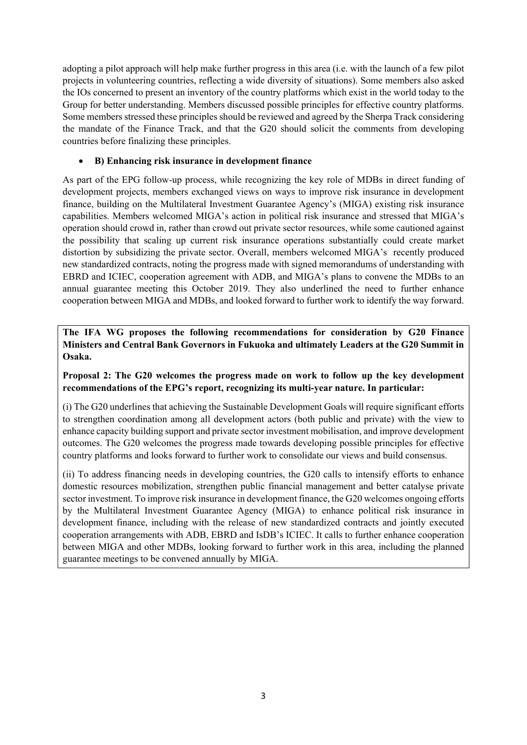adopting a pilot approach will help make further progress in this area (i.e. with the launch of a few pilot projects in volunteering countries, reflecting a wide diversity of situations). Some members also asked the IOs concerned to present an inventory of the country platforms which exist in the world today to the Group for better understanding. Members discussed possible principles for effective country platforms. Some members stressed these principles should be reviewed and agreed by the Sherpa Track considering the mandate of the Finance Track, and that the G20 should solicit the comments from developing countries before finalizing these principles.

## **B) Enhancing risk insurance in development finance**

As part of the EPG follow-up process, while recognizing the key role of MDBs in direct funding of development projects, members exchanged views on ways to improve risk insurance in development finance, building on the Multilateral Investment Guarantee Agency's (MIGA) existing risk insurance capabilities. Members welcomed MIGA's action in political risk insurance and stressed that MIGA's operation should crowd in, rather than crowd out private sector resources, while some cautioned against the possibility that scaling up current risk insurance operations substantially could create market distortion by subsidizing the private sector. Overall, members welcomed MIGA's recently produced new standardized contracts, noting the progress made with signed memorandums of understanding with EBRD and ICIEC, cooperation agreement with ADB, and MIGA's plans to convene the MDBs to an annual guarantee meeting this October 2019. They also underlined the need to further enhance cooperation between MIGA and MDBs, and looked forward to further work to identify the way forward.

**The IFA WG proposes the following recommendations for consideration by G20 Finance Ministers and Central Bank Governors in Fukuoka and ultimately Leaders at the G20 Summit in Osaka.** 

## **Proposal 2: The G20 welcomes the progress made on work to follow up the key development recommendations of the EPG's report, recognizing its multi-year nature. In particular:**

(i) The G20 underlines that achieving the Sustainable Development Goals will require significant efforts to strengthen coordination among all development actors (both public and private) with the view to enhance capacity building support and private sector investment mobilisation, and improve development outcomes. The G20 welcomes the progress made towards developing possible principles for effective country platforms and looks forward to further work to consolidate our views and build consensus.

(ii) To address financing needs in developing countries, the G20 calls to intensify efforts to enhance domestic resources mobilization, strengthen public financial management and better catalyse private sector investment. To improve risk insurance in development finance, the G20 welcomes ongoing efforts by the Multilateral Investment Guarantee Agency (MIGA) to enhance political risk insurance in development finance, including with the release of new standardized contracts and jointly executed cooperation arrangements with ADB, EBRD and IsDB's ICIEC. It calls to further enhance cooperation between MIGA and other MDBs, looking forward to further work in this area, including the planned guarantee meetings to be convened annually by MIGA.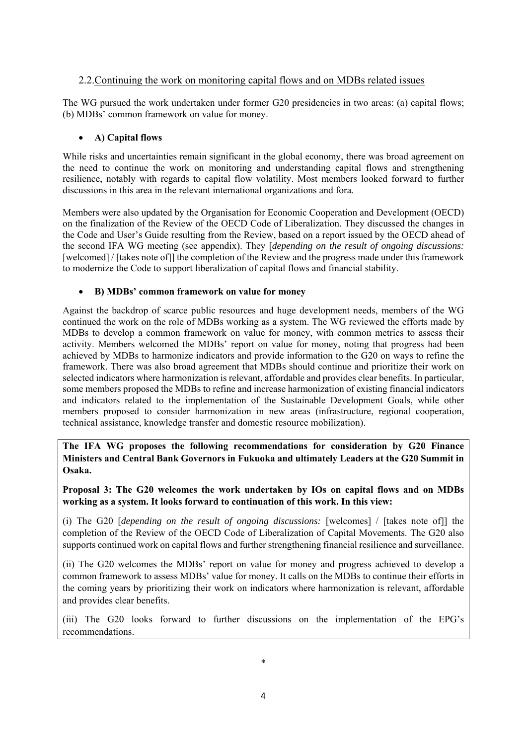## 2.2.Continuing the work on monitoring capital flows and on MDBs related issues

The WG pursued the work undertaken under former G20 presidencies in two areas: (a) capital flows; (b) MDBs' common framework on value for money.

#### **A) Capital flows**

While risks and uncertainties remain significant in the global economy, there was broad agreement on the need to continue the work on monitoring and understanding capital flows and strengthening resilience, notably with regards to capital flow volatility. Most members looked forward to further discussions in this area in the relevant international organizations and fora.

Members were also updated by the Organisation for Economic Cooperation and Development (OECD) on the finalization of the Review of the OECD Code of Liberalization. They discussed the changes in the Code and User's Guide resulting from the Review, based on a report issued by the OECD ahead of the second IFA WG meeting (see appendix). They [*depending on the result of ongoing discussions:* [welcomed] / [takes note of]] the completion of the Review and the progress made under this framework to modernize the Code to support liberalization of capital flows and financial stability.

## **B) MDBs' common framework on value for money**

Against the backdrop of scarce public resources and huge development needs, members of the WG continued the work on the role of MDBs working as a system. The WG reviewed the efforts made by MDBs to develop a common framework on value for money, with common metrics to assess their activity. Members welcomed the MDBs' report on value for money, noting that progress had been achieved by MDBs to harmonize indicators and provide information to the G20 on ways to refine the framework. There was also broad agreement that MDBs should continue and prioritize their work on selected indicators where harmonization is relevant, affordable and provides clear benefits. In particular, some members proposed the MDBs to refine and increase harmonization of existing financial indicators and indicators related to the implementation of the Sustainable Development Goals, while other members proposed to consider harmonization in new areas (infrastructure, regional cooperation, technical assistance, knowledge transfer and domestic resource mobilization).

**The IFA WG proposes the following recommendations for consideration by G20 Finance Ministers and Central Bank Governors in Fukuoka and ultimately Leaders at the G20 Summit in Osaka.** 

## **Proposal 3: The G20 welcomes the work undertaken by IOs on capital flows and on MDBs working as a system. It looks forward to continuation of this work. In this view:**

(i) The G20 [*depending on the result of ongoing discussions:* [welcomes] / [takes note of]] the completion of the Review of the OECD Code of Liberalization of Capital Movements. The G20 also supports continued work on capital flows and further strengthening financial resilience and surveillance.

(ii) The G20 welcomes the MDBs' report on value for money and progress achieved to develop a common framework to assess MDBs' value for money. It calls on the MDBs to continue their efforts in the coming years by prioritizing their work on indicators where harmonization is relevant, affordable and provides clear benefits.

(iii) The G20 looks forward to further discussions on the implementation of the EPG's recommendations.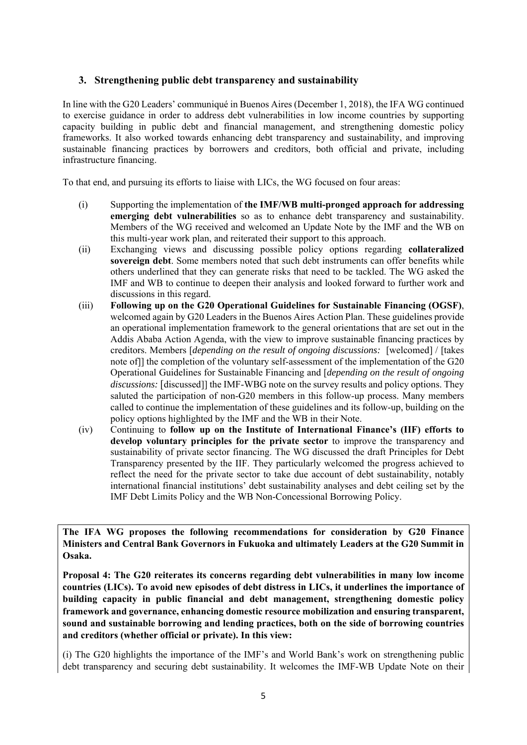# **3. Strengthening public debt transparency and sustainability**

In line with the G20 Leaders' communiqué in Buenos Aires (December 1, 2018), the IFA WG continued to exercise guidance in order to address debt vulnerabilities in low income countries by supporting capacity building in public debt and financial management, and strengthening domestic policy frameworks. It also worked towards enhancing debt transparency and sustainability, and improving sustainable financing practices by borrowers and creditors, both official and private, including infrastructure financing.

To that end, and pursuing its efforts to liaise with LICs, the WG focused on four areas:

- (i) Supporting the implementation of **the IMF/WB multi-pronged approach for addressing emerging debt vulnerabilities** so as to enhance debt transparency and sustainability. Members of the WG received and welcomed an Update Note by the IMF and the WB on this multi-year work plan, and reiterated their support to this approach.
- (ii) Exchanging views and discussing possible policy options regarding **collateralized sovereign debt**. Some members noted that such debt instruments can offer benefits while others underlined that they can generate risks that need to be tackled. The WG asked the IMF and WB to continue to deepen their analysis and looked forward to further work and discussions in this regard.
- (iii) **Following up on the G20 Operational Guidelines for Sustainable Financing (OGSF)**, welcomed again by G20 Leaders in the Buenos Aires Action Plan. These guidelines provide an operational implementation framework to the general orientations that are set out in the Addis Ababa Action Agenda, with the view to improve sustainable financing practices by creditors. Members [*depending on the result of ongoing discussions:* [welcomed] / [takes note of]] the completion of the voluntary self-assessment of the implementation of the G20 Operational Guidelines for Sustainable Financing and [*depending on the result of ongoing discussions:* [discussed]] the IMF-WBG note on the survey results and policy options. They saluted the participation of non-G20 members in this follow-up process. Many members called to continue the implementation of these guidelines and its follow-up, building on the policy options highlighted by the IMF and the WB in their Note.
- (iv) Continuing to **follow up on the Institute of International Finance's (IIF) efforts to develop voluntary principles for the private sector** to improve the transparency and sustainability of private sector financing. The WG discussed the draft Principles for Debt Transparency presented by the IIF. They particularly welcomed the progress achieved to reflect the need for the private sector to take due account of debt sustainability, notably international financial institutions' debt sustainability analyses and debt ceiling set by the IMF Debt Limits Policy and the WB Non-Concessional Borrowing Policy.

**The IFA WG proposes the following recommendations for consideration by G20 Finance Ministers and Central Bank Governors in Fukuoka and ultimately Leaders at the G20 Summit in Osaka.** 

**Proposal 4: The G20 reiterates its concerns regarding debt vulnerabilities in many low income countries (LICs). To avoid new episodes of debt distress in LICs, it underlines the importance of building capacity in public financial and debt management, strengthening domestic policy framework and governance, enhancing domestic resource mobilization and ensuring transparent, sound and sustainable borrowing and lending practices, both on the side of borrowing countries and creditors (whether official or private). In this view:** 

(i) The G20 highlights the importance of the IMF's and World Bank's work on strengthening public debt transparency and securing debt sustainability. It welcomes the IMF-WB Update Note on their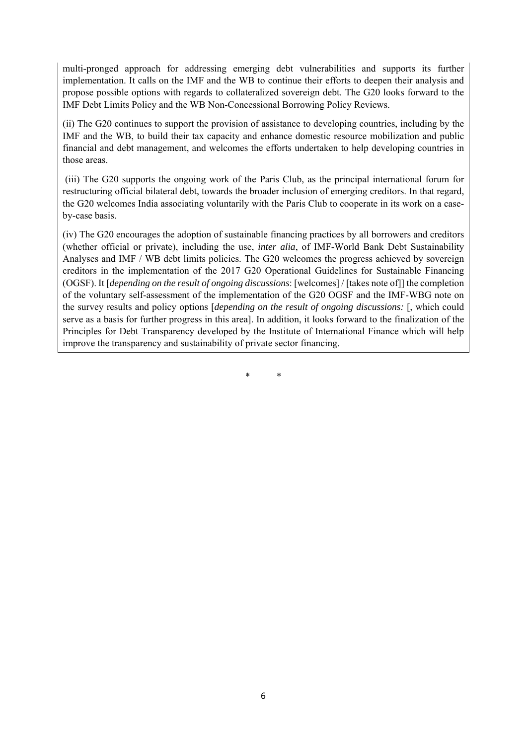multi-pronged approach for addressing emerging debt vulnerabilities and supports its further implementation. It calls on the IMF and the WB to continue their efforts to deepen their analysis and propose possible options with regards to collateralized sovereign debt. The G20 looks forward to the IMF Debt Limits Policy and the WB Non-Concessional Borrowing Policy Reviews.

(ii) The G20 continues to support the provision of assistance to developing countries, including by the IMF and the WB, to build their tax capacity and enhance domestic resource mobilization and public financial and debt management, and welcomes the efforts undertaken to help developing countries in those areas.

 (iii) The G20 supports the ongoing work of the Paris Club, as the principal international forum for restructuring official bilateral debt, towards the broader inclusion of emerging creditors. In that regard, the G20 welcomes India associating voluntarily with the Paris Club to cooperate in its work on a caseby-case basis.

(iv) The G20 encourages the adoption of sustainable financing practices by all borrowers and creditors (whether official or private), including the use, *inter alia*, of IMF-World Bank Debt Sustainability Analyses and IMF / WB debt limits policies. The G20 welcomes the progress achieved by sovereign creditors in the implementation of the 2017 G20 Operational Guidelines for Sustainable Financing (OGSF). It [*depending on the result of ongoing discussions*: [welcomes] / [takes note of]] the completion of the voluntary self-assessment of the implementation of the G20 OGSF and the IMF-WBG note on the survey results and policy options [*depending on the result of ongoing discussions:* [, which could serve as a basis for further progress in this area]. In addition, it looks forward to the finalization of the Principles for Debt Transparency developed by the Institute of International Finance which will help improve the transparency and sustainability of private sector financing.

\* \*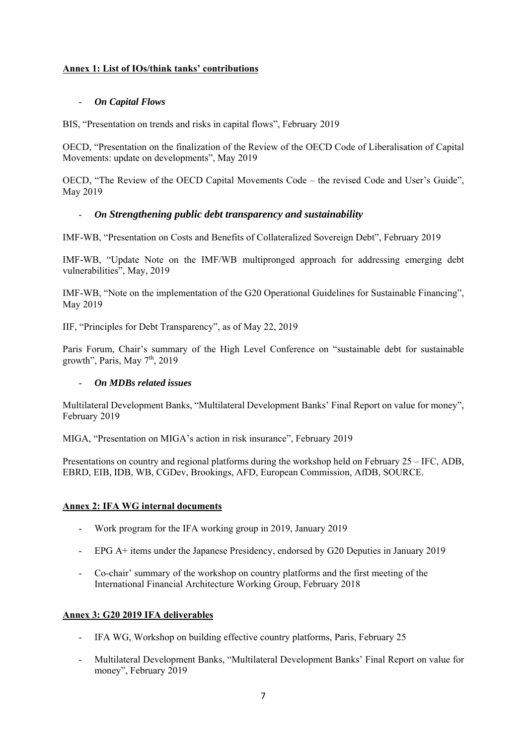# **Annex 1: List of IOs/think tanks' contributions**

## - *On Capital Flows*

BIS, "Presentation on trends and risks in capital flows", February 2019

OECD, "Presentation on the finalization of the Review of the OECD Code of Liberalisation of Capital Movements: update on developments", May 2019

OECD, "The Review of the OECD Capital Movements Code – the revised Code and User's Guide", May 2019

## - *On Strengthening public debt transparency and sustainability*

IMF-WB, "Presentation on Costs and Benefits of Collateralized Sovereign Debt", February 2019

IMF-WB, "Update Note on the IMF/WB multipronged approach for addressing emerging debt vulnerabilities", May, 2019

IMF-WB, "Note on the implementation of the G20 Operational Guidelines for Sustainable Financing", May 2019

IIF, "Principles for Debt Transparency", as of May 22, 2019

Paris Forum, Chair's summary of the High Level Conference on "sustainable debt for sustainable growth", Paris, May  $7<sup>th</sup>$ , 2019

## - *On MDBs related issues*

Multilateral Development Banks, "Multilateral Development Banks' Final Report on value for money", February 2019

MIGA, "Presentation on MIGA's action in risk insurance", February 2019

Presentations on country and regional platforms during the workshop held on February 25 – IFC, ADB, EBRD, EIB, IDB, WB, CGDev, Brookings, AFD, European Commission, AfDB, SOURCE.

#### **Annex 2: IFA WG internal documents**

- Work program for the IFA working group in 2019, January 2019
- EPG A+ items under the Japanese Presidency, endorsed by G20 Deputies in January 2019
- Co-chair' summary of the workshop on country platforms and the first meeting of the International Financial Architecture Working Group, February 2018

## **Annex 3: G20 2019 IFA deliverables**

- IFA WG, Workshop on building effective country platforms, Paris, February 25
- Multilateral Development Banks, "Multilateral Development Banks' Final Report on value for money", February 2019